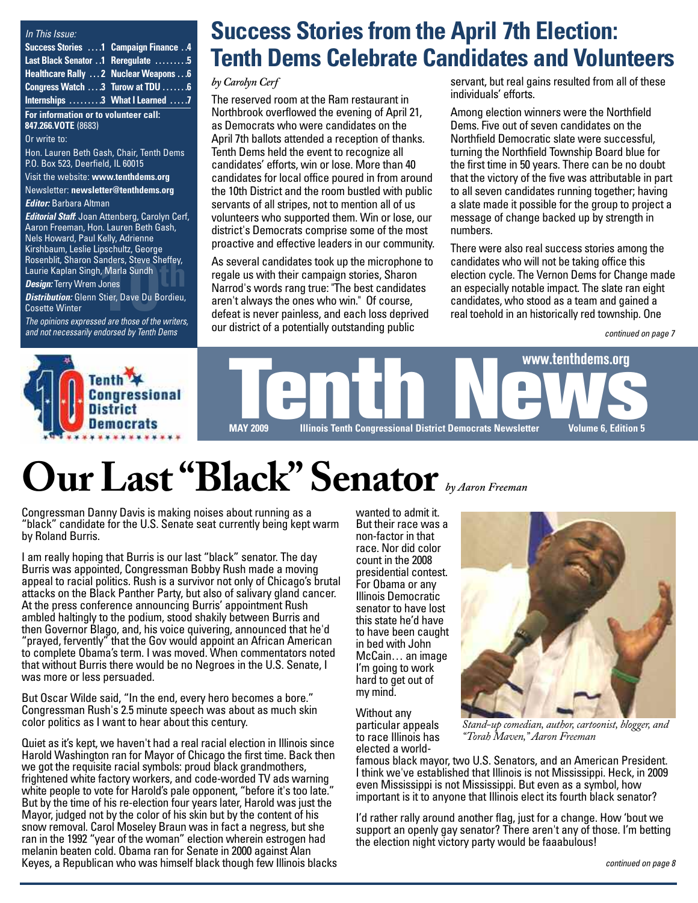#### *In This Issue:*

| <b>Success Stories 1 Campaign Finance 4</b> |  |
|---------------------------------------------|--|
| Last Black Senator 1 Reregulate  5          |  |
| Healthcare Rally  2 Nuclear Weapons  6      |  |
| Congress Watch  3 Turow at TDU  6           |  |
| Internships 3 What I Learned 7              |  |

**For information or to volunteer call: 847.266.VOTE** (8683)

Or write to:

Hon. Lauren Beth Gash, Chair, Tenth Dems P.O. Box 523, Deerfield, IL 60015

Visit the website: **[www.tenthdems.org](http://www.tenthdems.org)**  Newsletter: **[newsletter@tenthdems.org](mailto:newsletter@tenthdems.org)**

*Editor:* Barbara Altman

Rosenblit, Sharon Sanders, Steve Sheffey,<br>Laurie Kaplan Singh, Marla Sundh<br>**Design:** Terry Wrem Jones *Editorial Staff*: Joan Attenberg, Carolyn Cerf, Aaron Freeman, Hon. Lauren Beth Gash, Nels Howard, Paul Kelly, Adrienne Kirshbaum, Leslie Lipschultz, George Laurie Kaplan Singh, Marla Sundh *Design:* Terry Wrem Jones

*Distribution:* Glenn Stier, Dave Du Bordieu,

Cosette Winter

*The opinions expressed are those of the writers, and not necessarily endorsed by Tenth Dems*

## **Success Stories from the April 7th Election: Tenth Dems Celebrate Candidates and Volunteers**

#### *by Carolyn Cerf*

The reserved room at the Ram restaurant in Northbrook overflowed the evening of April 21, as Democrats who were candidates on the April 7th ballots attended a reception of thanks. Tenth Dems held the event to recognize all candidates' efforts, win or lose. More than 40 candidates for local office poured in from around the 10th District and the room bustled with public servants of all stripes, not to mention all of us volunteers who supported them. Win or lose, our district's Democrats comprise some of the most proactive and effective leaders in our community.

As several candidates took up the microphone to regale us with their campaign stories, Sharon Narrod's words rang true: "The best candidates aren't always the ones who win." Of course, defeat is never painless, and each loss deprived our district of a potentially outstanding public anders, Steve Sheffey,<br>
I, Marla Sundh<br>
I, Marla Sundh<br>
Jones<br>
Stier, Dave Du Bordieu,<br>
Stier, Dave Du Bordieu,<br>
and Bordieu,<br>
and are those of the writers<br>
and gained a defeat is never painless, and each loss deprived<br>
an

servant, but real gains resulted from all of these individuals' efforts.

Among election winners were the Northfield Dems. Five out of seven candidates on the Northfield Democratic slate were successful, turning the Northfield Township Board blue for the first time in 50 years. There can be no doubt that the victory of the five was attributable in part to all seven candidates running together; having a slate made it possible for the group to project a message of change backed up by strength in numbers.

There were also real success stories among the candidates who will not be taking office this election cycle. The Vernon Dems for Change made an especially notable impact. The slate ran eight

*continued on page 7*



# **Our Last "Black" Senator** *by Aaron Freeman*

Congressman Danny Davis is making noises about running as a "black" candidate for the U.S. Senate seat currently being kept warm by Roland Burris.

I am really hoping that Burris is our last "black" senator. The day Burris was appointed, Congressman Bobby Rush made a moving appeal to racial politics. Rush is a survivor not only of Chicago's brutal attacks on the Black Panther Party, but also of salivary gland cancer. At the press conference announcing Burris' appointment Rush ambled haltingly to the podium, stood shakily between Burris and then Governor Blago, and, his voice quivering, announced that he'd "prayed, fervently" that the Gov would appoint an African American to complete Obama's term. I was moved. When commentators noted that without Burris there would be no Negroes in the U.S. Senate, I was more or less persuaded.

But Oscar Wilde said, "In the end, every hero becomes a bore." Congressman Rush's 2.5 minute speech was about as much skin color politics as I want to hear about this century.

Quiet as it's kept, we haven't had a real racial election in Illinois since Harold Washington ran for Mayor of Chicago the first time. Back then we got the requisite racial symbols: proud black grandmothers, frightened white factory workers, and code-worded TV ads warning white people to vote for Harold's pale opponent, "before it's too late." But by the time of his re-election four years later, Harold was just the Mayor, judged not by the color of his skin but by the content of his snow removal. Carol Moseley Braun was in fact a negress, but she ran in the 1992 "year of the woman" election wherein estrogen had melanin beaten cold. Obama ran for Senate in 2000 against Alan Keyes, a Republican who was himself black though few Illinois blacks wanted to admit it. But their race was a non-factor in that race. Nor did color count in the 2008 presidential contest. For Obama or any Illinois Democratic senator to have lost this state he'd have to have been caught in bed with John McCain… an image I'm going to work hard to get out of my mind.

Without any particular appeals to race Illinois has



*Stand-up comedian, author, cartoonist, blogger, and "Torah Maven," Aaron Freeman*

elected a worldfamous black mayor, two U.S. Senators, and an American President. I think we've established that Illinois is not Mississippi. Heck, in 2009 even Mississippi is not Mississippi. But even as a symbol, how important is it to anyone that Illinois elect its fourth black senator?

I'd rather rally around another flag, just for a change. How 'bout we support an openly gay senator? There aren't any of those. I'm betting the election night victory party would be faaabulous!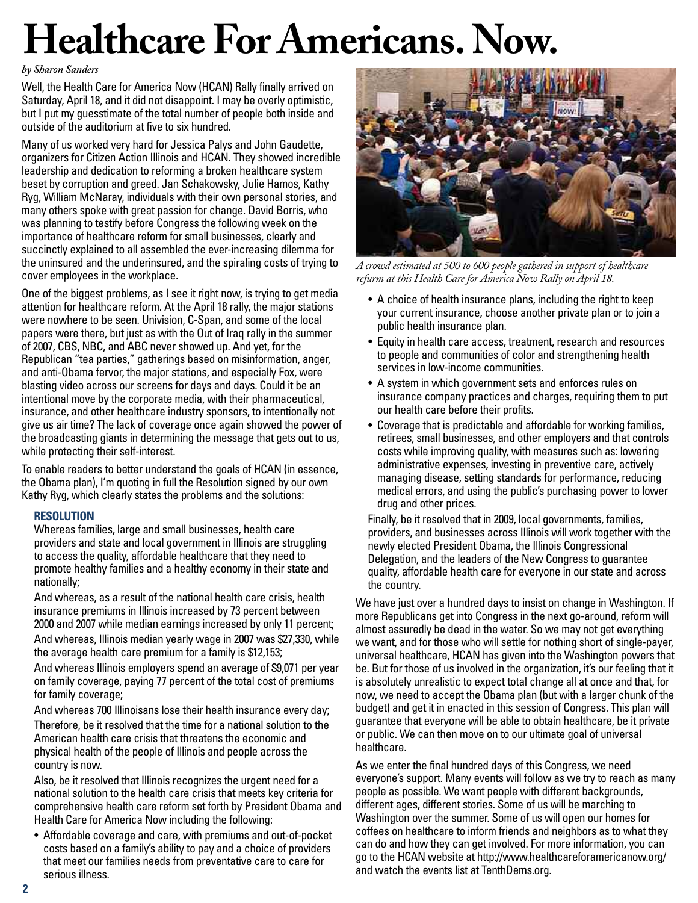# **Healthcare For Americans. Now.**

#### *by Sharon Sanders*

Well, the Health Care for America Now (HCAN) Rally finally arrived on Saturday, April 18, and it did not disappoint. I may be overly optimistic, but I put my guesstimate of the total number of people both inside and outside of the auditorium at five to six hundred.

Many of us worked very hard for Jessica Palys and John Gaudette, organizers for Citizen Action Illinois and HCAN. They showed incredible leadership and dedication to reforming a broken healthcare system beset by corruption and greed. Jan Schakowsky, Julie Hamos, Kathy Ryg, William McNaray, individuals with their own personal stories, and many others spoke with great passion for change. David Borris, who was planning to testify before Congress the following week on the importance of healthcare reform for small businesses, clearly and succinctly explained to all assembled the ever-increasing dilemma for the uninsured and the underinsured, and the spiraling costs of trying to cover employees in the workplace.

One of the biggest problems, as I see it right now, is trying to get media attention for healthcare reform. At the April 18 rally, the major stations were nowhere to be seen. Univision, C-Span, and some of the local papers were there, but just as with the Out of Iraq rally in the summer of 2007, CBS, NBC, and ABC never showed up. And yet, for the Republican "tea parties," gatherings based on misinformation, anger, and anti-Obama fervor, the major stations, and especially Fox, were blasting video across our screens for days and days. Could it be an intentional move by the corporate media, with their pharmaceutical, insurance, and other healthcare industry sponsors, to intentionally not give us air time? The lack of coverage once again showed the power of the broadcasting giants in determining the message that gets out to us, while protecting their self-interest.

To enable readers to better understand the goals of HCAN (in essence, the Obama plan), I'm quoting in full the Resolution signed by our own Kathy Ryg, which clearly states the problems and the solutions:

#### **RESOLUTION**

Whereas families, large and small businesses, health care providers and state and local government in Illinois are struggling to access the quality, affordable healthcare that they need to promote healthy families and a healthy economy in their state and nationally;

And whereas, as a result of the national health care crisis, health insurance premiums in Illinois increased by 73 percent between 2000 and 2007 while median earnings increased by only 11 percent;

And whereas, Illinois median yearly wage in 2007 was \$27,330, while the average health care premium for a family is \$12,153;

And whereas Illinois employers spend an average of \$9,071 per year on family coverage, paying 77 percent of the total cost of premiums for family coverage;

And whereas 700 Illinoisans lose their health insurance every day; Therefore, be it resolved that the time for a national solution to the American health care crisis that threatens the economic and physical health of the people of Illinois and people across the country is now.

Also, be it resolved that Illinois recognizes the urgent need for a national solution to the health care crisis that meets key criteria for comprehensive health care reform set forth by President Obama and Health Care for America Now including the following:

• Affordable coverage and care, with premiums and out-of-pocket costs based on a family's ability to pay and a choice of providers that meet our families needs from preventative care to care for serious illness.



*A crowd estimated at 500 to 600 people gathered in support of healthcare refurm at this Health Care for America Now Rally on April 18.*

- A choice of health insurance plans, including the right to keep your current insurance, choose another private plan or to join a public health insurance plan.
- Equity in health care access, treatment, research and resources to people and communities of color and strengthening health services in low-income communities.
- A system in which government sets and enforces rules on insurance company practices and charges, requiring them to put our health care before their profits.
- Coverage that is predictable and affordable for working families, retirees, small businesses, and other employers and that controls costs while improving quality, with measures such as: lowering administrative expenses, investing in preventive care, actively managing disease, setting standards for performance, reducing medical errors, and using the public's purchasing power to lower drug and other prices.

Finally, be it resolved that in 2009, local governments, families, providers, and businesses across Illinois will work together with the newly elected President Obama, the Illinois Congressional Delegation, and the leaders of the New Congress to guarantee quality, affordable health care for everyone in our state and across the country.

We have just over a hundred days to insist on change in Washington. If more Republicans get into Congress in the next go-around, reform will almost assuredly be dead in the water. So we may not get everything we want, and for those who will settle for nothing short of single-payer, universal healthcare, HCAN has given into the Washington powers that be. But for those of us involved in the organization, it's our feeling that it is absolutely unrealistic to expect total change all at once and that, for now, we need to accept the Obama plan (but with a larger chunk of the budget) and get it in enacted in this session of Congress. This plan will guarantee that everyone will be able to obtain healthcare, be it private or public. We can then move on to our ultimate goal of universal healthcare.

As we enter the final hundred days of this Congress, we need everyone's support. Many events will follow as we try to reach as many people as possible. We want people with different backgrounds, different ages, different stories. Some of us will be marching to Washington over the summer. Some of us will open our homes for coffees on healthcare to inform friends and neighbors as to what they can do and how they can get involved. For more information, you can go to the HCAN website at [http://www.healthcareforamericanow.org/](http://www.healthcareforamericanow.org) and watch the events list at TenthDems.org.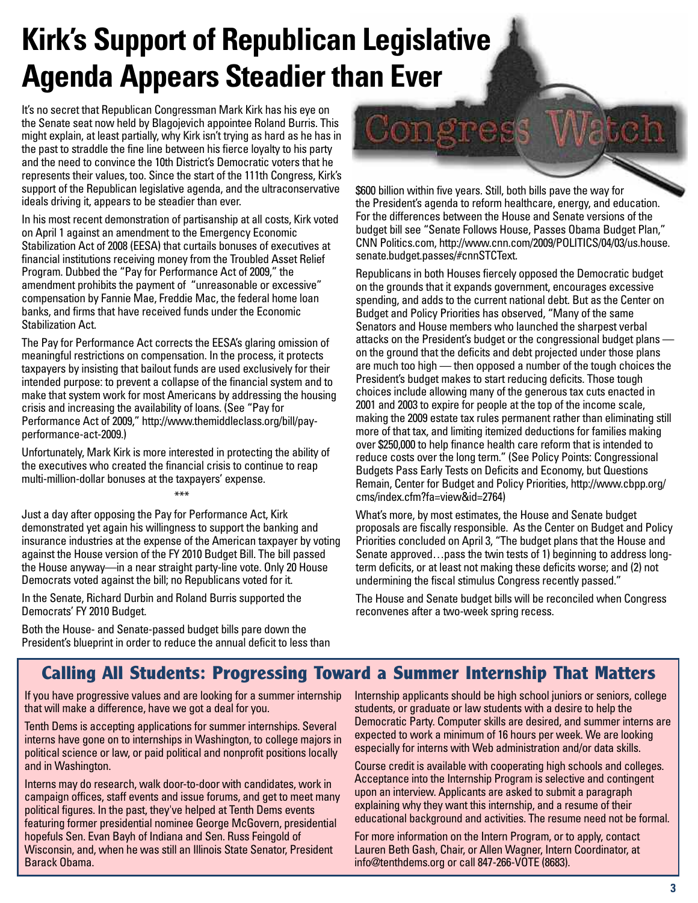## **Kirk's Support of Republican Legislative Agenda Appears Steadier than Ever**

It's no secret that Republican Congressman Mark Kirk has his eye on the Senate seat now held by Blagojevich appointee Roland Burris. This might explain, at least partially, why Kirk isn't trying as hard as he has in the past to straddle the fine line between his fierce loyalty to his party and the need to convince the 10th District's Democratic voters that he represents their values, too. Since the start of the 111th Congress, Kirk's support of the Republican legislative agenda, and the ultraconservative ideals driving it, appears to be steadier than ever.

In his most recent demonstration of partisanship at all costs, Kirk voted on April 1 against an amendment to the Emergency Economic Stabilization Act of 2008 (EESA) that curtails bonuses of executives at financial institutions receiving money from the Troubled Asset Relief Program. Dubbed the "Pay for Performance Act of 2009," the amendment prohibits the payment of "unreasonable or excessive" compensation by Fannie Mae, Freddie Mac, the federal home loan banks, and firms that have received funds under the Economic Stabilization Act.

The Pay for Performance Act corrects the EESA's glaring omission of meaningful restrictions on compensation. In the process, it protects taxpayers by insisting that bailout funds are used exclusively for their intended purpose: to prevent a collapse of the financial system and to make that system work for most Americans by addressing the housing crisis and increasing the availability of loans. (See "Pay for [Performance Act of 2009," http://www.themiddleclass.org/bill/pa](http://www.themiddleclass.org/bill/pay-performance-act-2009)yperformance[-act-200](http://www.themiddleclass.org/bill/pay-performance-act-2009)9.)

Unfortunately, Mark Kirk is more interested in protecting the ability of the executives who created the financial crisis to continue to reap multi-million-dollar bonuses at the taxpayers' expense.

Just a day after opposing the Pay for Performance Act, Kirk demonstrated yet again his willingness to support the banking and insurance industries at the expense of the American taxpayer by voting against the House version of the FY 2010 Budget Bill. The bill passed the House anyway—in a near straight party-line vote. Only 20 House Democrats voted against the bill; no Republicans voted for it.

\*\*\*

In the Senate, Richard Durbin and Roland Burris supported the Democrats' FY 2010 Budget.

Both the House- and Senate-passed budget bills pare down the President's blueprint in order to reduce the annual deficit to less than Congress Jatch

\$600 billion within five years. Still, both bills pave the way for the President's agenda to reform healthcare, energy, and education. For the differences between the House and Senate versions of the budget bill see "Senate Follows House, Passes Obama Budget Plan," CNN Politics.com, [http://www.cnn.com/2009/POLITICS/04/03/us.house.](http://www.cnn.com/2009/POLITICS/04/03/us.house) senate.budget.passes/#cnnSTCText.

Republicans in both Houses fiercely opposed the Democratic budget on the grounds that it expands government, encourages excessive spending, and adds to the current national debt. But as the Center on Budget and Policy Priorities has observed, "Many of the same Senators and House members who launched the sharpest verbal attacks on the President's budget or the congressional budget plans on the ground that the deficits and debt projected under those plans are much too high — then opposed a number of the tough choices the President's budget makes to start reducing deficits. Those tough choices include allowing many of the generous tax cuts enacted in 2001 and 2003 to expire for people at the top of the income scale, making the 2009 estate tax rules permanent rather than eliminating still more of that tax, and limiting itemized deductions for families making over \$250,000 to help finance health care reform that is intended to reduce costs over the long term." (See Policy Points: Congressional Budgets Pass Early Tests on Deficits and Economy, but Questions Remain, Center for Budget and Policy Priorities, [http://www.cbpp.org/](http://www.cbpp.org) cms/index.cfm?fa=view&id=2764)

What's more, by most estimates, the House and Senate budget proposals are fiscally responsible. As the Center on Budget and Policy Priorities concluded on April 3, "The budget plans that the House and Senate approved…pass the twin tests of 1) beginning to address longterm deficits, or at least not making these deficits worse; and (2) not undermining the fiscal stimulus Congress recently passed."

The House and Senate budget bills will be reconciled when Congress reconvenes after a two-week spring recess.

### **Calling All Students: Progressing Toward a Summer Internship That Matters**

If you have progressive values and are looking for a summer internship that will make a difference, have we got a deal for you.

Tenth Dems is accepting applications for summer internships. Several interns have gone on to internships in Washington, to college majors in political science or law, or paid political and nonprofit positions locally and in Washington.

Interns may do research, walk door-to-door with candidates, work in campaign offices, staff events and issue forums, and get to meet many political figures. In the past, they've helped at Tenth Dems events featuring former presidential nominee George McGovern, presidential hopefuls Sen. Evan Bayh of Indiana and Sen. Russ Feingold of Wisconsin, and, when he was still an Illinois State Senator, President Barack Obama.

Internship applicants should be high school juniors or seniors, college students, or graduate or law students with a desire to help the Democratic Party. Computer skills are desired, and summer interns are expected to work a minimum of 16 hours per week. We are looking especially for interns with Web administration and/or data skills.

Course credit is available with cooperating high schools and colleges. Acceptance into the Internship Program is selective and contingent upon an interview. Applicants are asked to submit a paragraph explaining why they want this internship, and a resume of their educational background and activities. The resume need not be formal.

For more information on the Intern Program, or to apply, contact Lauren Beth Gash, Chair, or Allen Wagner, Intern Coordinator, at [info@tenthdems.org or](mailto:info@tenthdems.org) call 847-266-VOTE (8683).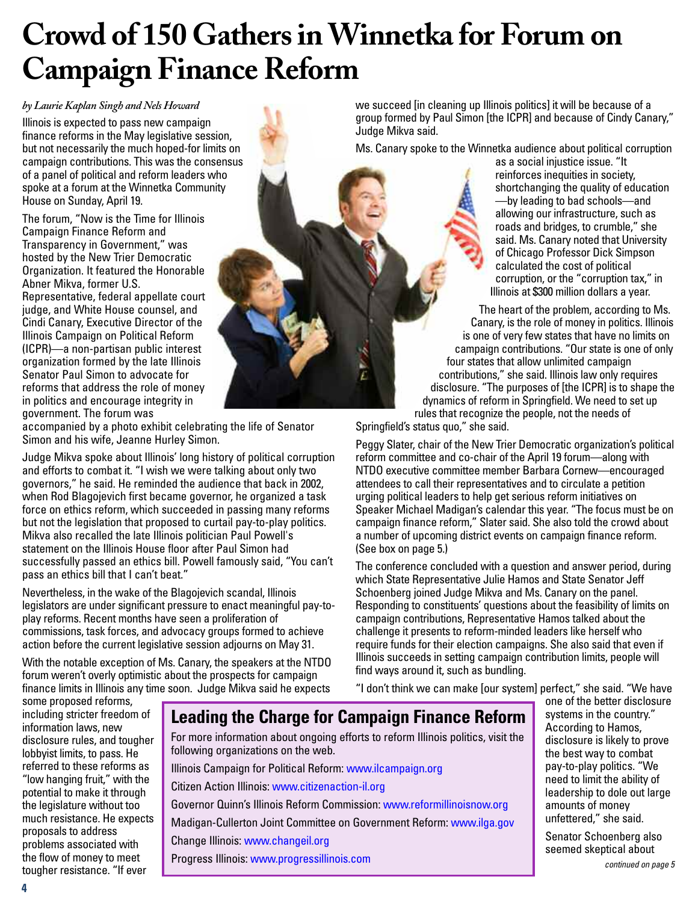## **Crowd of 150 Gathers in Winnetka for Forum on Campaign Finance Reform**

*by Laurie Kaplan Singh and Nels Howard*

Illinois is expected to pass new campaign finance reforms in the May legislative session, but not necessarily the much hoped-for limits on campaign contributions. This was the consensus of a panel of political and reform leaders who spoke at a forum at the Winnetka Community House on Sunday, April 19.

The forum, "Now is the Time for Illinois Campaign Finance Reform and Transparency in Government," was hosted by the New Trier Democratic Organization. It featured the Honorable Abner Mikva, former U.S.

Representative, federal appellate court judge, and White House counsel, and Cindi Canary, Executive Director of the Illinois Campaign on Political Reform (ICPR)—a non-partisan public interest organization formed by the late Illinois Senator Paul Simon to advocate for reforms that address the role of money in politics and encourage integrity in government. The forum was

accompanied by a photo exhibit celebrating the life of Senator Simon and his wife, Jeanne Hurley Simon.

Judge Mikva spoke about Illinois' long history of political corruption and efforts to combat it. "I wish we were talking about only two governors," he said. He reminded the audience that back in 2002, when Rod Blagojevich first became governor, he organized a task force on ethics reform, which succeeded in passing many reforms but not the legislation that proposed to curtail pay-to-play politics. Mikva also recalled the late Illinois politician Paul Powell's statement on the Illinois House floor after Paul Simon had successfully passed an ethics bill. Powell famously said, "You can't pass an ethics bill that I can't beat."

Nevertheless, in the wake of the Blagojevich scandal, Illinois legislators are under significant pressure to enact meaningful pay-toplay reforms. Recent months have seen a proliferation of commissions, task forces, and advocacy groups formed to achieve action before the current legislative session adjourns on May 31.

With the notable exception of Ms. Canary, the speakers at the NTDO forum weren't overly optimistic about the prospects for campaign finance limits in Illinois any time soon. Judge Mikva said he expects we succeed [in cleaning up Illinois politics] it will be because of a group formed by Paul Simon [the ICPR] and because of Cindy Canary," Judge Mikva said.

Ms. Canary spoke to the Winnetka audience about political corruption

as a social injustice issue. "It reinforces inequities in society. shortchanging the quality of education —by leading to bad schools—and allowing our infrastructure, such as roads and bridges, to crumble," she said. Ms. Canary noted that University of Chicago Professor Dick Simpson calculated the cost of political corruption, or the "corruption tax," in Illinois at \$300 million dollars a year.

The heart of the problem, according to Ms. Canary, is the role of money in politics. Illinois is one of very few states that have no limits on campaign contributions. "Our state is one of only four states that allow unlimited campaign contributions," she said. Illinois law only requires disclosure. "The purposes of [the ICPR] is to shape the dynamics of reform in Springfield. We need to set up rules that recognize the people, not the needs of

Springfield's status quo," she said.

Peggy Slater, chair of the New Trier Democratic organization's political reform committee and co-chair of the April 19 forum—along with NTDO executive committee member Barbara Cornew—encouraged attendees to call their representatives and to circulate a petition urging political leaders to help get serious reform initiatives on Speaker Michael Madigan's calendar this year. "The focus must be on campaign finance reform," Slater said. She also told the crowd about a number of upcoming district events on campaign finance reform. (See box on page 5.)

The conference concluded with a question and answer period, during which State Representative Julie Hamos and State Senator Jeff Schoenberg joined Judge Mikva and Ms. Canary on the panel. Responding to constituents' questions about the feasibility of limits on campaign contributions, Representative Hamos talked about the challenge it presents to reform-minded leaders like herself who require funds for their election campaigns. She also said that even if Illinois succeeds in setting campaign contribution limits, people will find ways around it, such as bundling.

"I don't think we can make [our system] perfect," she said. "We have

some proposed reforms, including stricter freedom of information laws, new disclosure rules, and tougher lobbyist limits, to pass. He referred to these reforms as "low hanging fruit," with the potential to make it through the legislature without too much resistance. He expects proposals to address problems associated with the flow of money to meet tougher resistance. "If ever

### **Leading the Charge for Campaign Finance Reform**

For more information about ongoing efforts to reform Illinois politics, visit the following organizations on the web.

Illinois Campaign for Political Reform: [www.ilcampaign.org](http://www.ilcampaign.org)

Citizen Action Illinois: [www.citizenaction-il.org](http://www.citizenaction-il.org)

Governor Quinn's Illinois Reform Commission: [www.reformillinoisnow.org](http://www.reformillinoisnow.org) Madigan-Cullerton Joint Committee on Government Reform: [www.ilga.gov](http://www.ilga.gov) Change Illinois: [www.changeil.org](http://www.changeil.org)

Progress Illinois: [www.progressillinois.com](http://www.progressillinois.com)

one of the better disclosure systems in the country." According to Hamos, disclosure is likely to prove the best way to combat pay-to-play politics. "We need to limit the ability of leadership to dole out large amounts of money unfettered," she said.

Senator Schoenberg also seemed skeptical about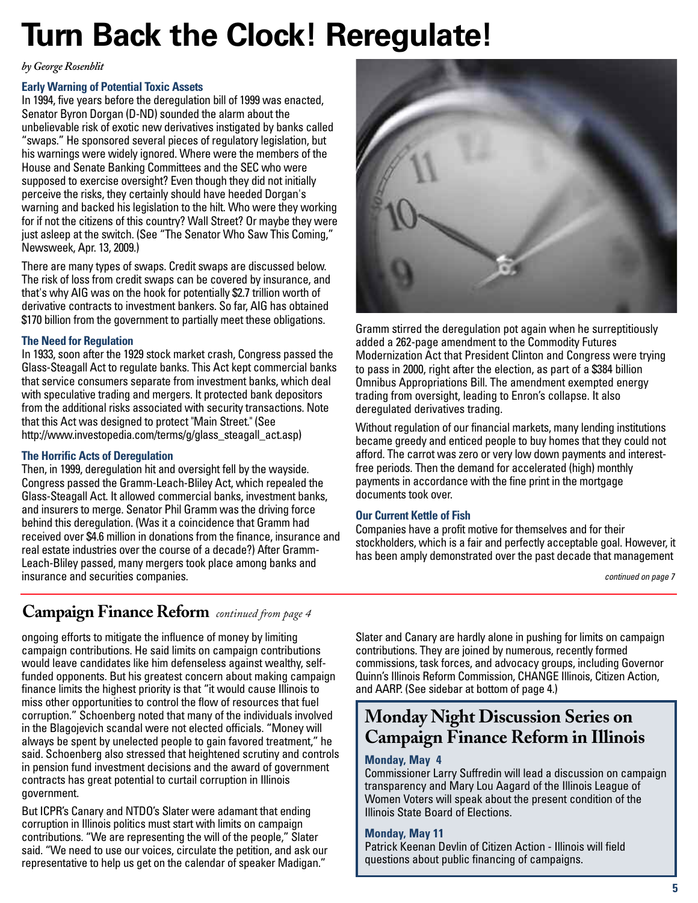## **Turn Back the Clock! Reregulate!**

*by George Rosenblit*

#### **Early Warning of Potential Toxic Assets**

In 1994, five years before the deregulation bill of 1999 was enacted, Senator Byron Dorgan (D-ND) sounded the alarm about the unbelievable risk of exotic new derivatives instigated by banks called "swaps." He sponsored several pieces of regulatory legislation, but his warnings were widely ignored. Where were the members of the House and Senate Banking Committees and the SEC who were supposed to exercise oversight? Even though they did not initially perceive the risks, they certainly should have heeded Dorgan's warning and backed his legislation to the hilt. Who were they working for if not the citizens of this country? Wall Street? Or maybe they were just asleep at the switch. (See "The Senator Who Saw This Coming," Newsweek, Apr. 13, 2009.)

There are many types of swaps. Credit swaps are discussed below. The risk of loss from credit swaps can be covered by insurance, and that's why AIG was on the hook for potentially \$2.7 trillion worth of derivative contracts to investment bankers. So far, AIG has obtained \$170 billion from the government to partially meet these obligations.

#### **The Need for Regulation**

In 1933, soon after the 1929 stock market crash, Congress passed the Glass-Steagall Act to regulate banks. This Act kept commercial banks that service consumers separate from investment banks, which deal with speculative trading and mergers. It protected bank depositors from the additional risks associated with security transactions. Note that this Act was designed to protect "Main Street." (See [http://www.investopedia.com/terms/g/glass\\_steagall\\_act.asp\)](http://www.investopedia.com/terms/g/glass_steagall_act.asp)

#### **The Horrific Acts of Deregulation**

Then, in 1999, deregulation hit and oversight fell by the wayside. Congress passed the Gramm-Leach-Bliley Act, which repealed the Glass-Steagall Act. It allowed commercial banks, investment banks, and insurers to merge. Senator Phil Gramm was the driving force behind this deregulation. (Was it a coincidence that Gramm had received over \$4.6 million in donations from the finance, insurance and real estate industries over the course of a decade?) After Gramm-Leach-Bliley passed, many mergers took place among banks and insurance and securities companies.

### **Campaign Finance Reform** *continued from page <sup>4</sup>*

ongoing efforts to mitigate the influence of money by limiting campaign contributions. He said limits on campaign contributions would leave candidates like him defenseless against wealthy, selffunded opponents. But his greatest concern about making campaign finance limits the highest priority is that "it would cause Illinois to miss other opportunities to control the flow of resources that fuel corruption." Schoenberg noted that many of the individuals involved in the Blagojevich scandal were not elected officials. "Money will always be spent by unelected people to gain favored treatment," he said. Schoenberg also stressed that heightened scrutiny and controls in pension fund investment decisions and the award of government contracts has great potential to curtail corruption in Illinois government.

But ICPR's Canary and NTDO's Slater were adamant that ending corruption in Illinois politics must start with limits on campaign contributions. "We are representing the will of the people," Slater said. "We need to use our voices, circulate the petition, and ask our representative to help us get on the calendar of speaker Madigan."

Slater and Canary are hardly alone in pushing for limits on campaign contributions. They are joined by numerous, recently formed commissions, task forces, and advocacy groups, including Governor Quinn's Illinois Reform Commission, CHANGE Illinois, Citizen Action, and AARP. (See sidebar at bottom of page 4.)

### **Monday Night Discussion Series on Campaign Finance Reform in Illinois**

#### **Monday, May 4**

Commissioner Larry Suffredin will lead a discussion on campaign transparency and Mary Lou Aagard of the Illinois League of Women Voters will speak about the present condition of the Illinois State Board of Elections.

#### **Monday, May 11**

Patrick Keenan Devlin of Citizen Action - Illinois will field questions about public financing of campaigns.



Gramm stirred the deregulation pot again when he surreptitiously added a 262-page amendment to the Commodity Futures Modernization Act that President Clinton and Congress were trying to pass in 2000, right after the election, as part of a \$384 billion Omnibus Appropriations Bill. The amendment exempted energy trading from oversight, leading to Enron's collapse. It also deregulated derivatives trading.

Without regulation of our financial markets, many lending institutions became greedy and enticed people to buy homes that they could not afford. The carrot was zero or very low down payments and interestfree periods. Then the demand for accelerated (high) monthly payments in accordance with the fine print in the mortgage documents took over.

#### **Our Current Kettle of Fish**

Companies have a profit motive for themselves and for their stockholders, which is a fair and perfectly acceptable goal. However, it has been amply demonstrated over the past decade that management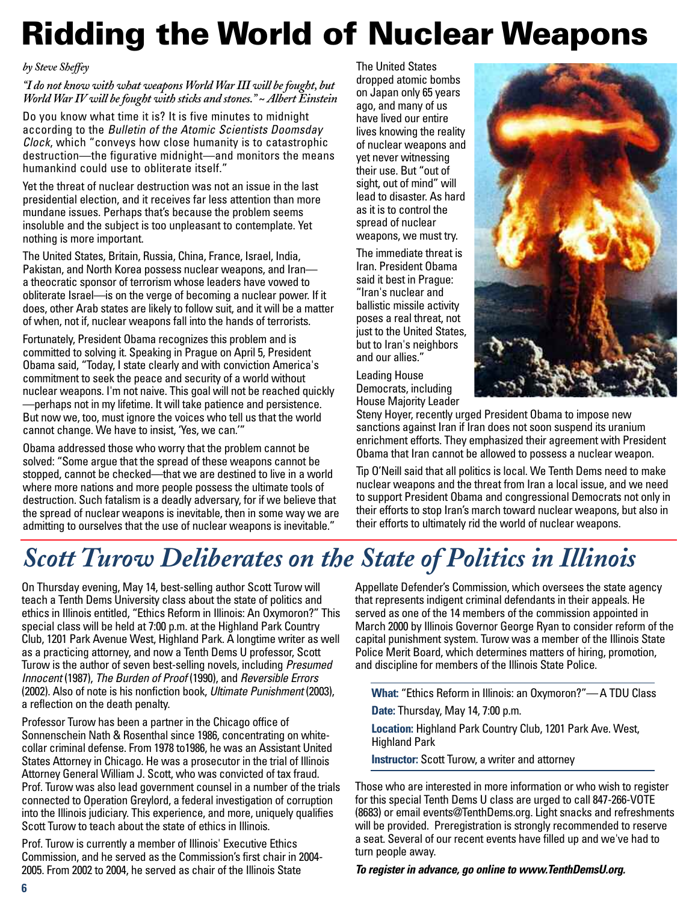## **Ridding the World of Nuclear Weapons**

#### *by Steve Sheffey*

*"I do not know with what weapons World War III will be fought, but World War IV will be fought with sticks and stones." ~ Albert Einstein*

Do you know what time it is? It is five minutes to midnight according to the *Bulletin of the Atomic Scientists Doomsday Clock*, which "conveys how close humanity is to catastrophic destruction—the figurative midnight—and monitors the means humankind could use to obliterate itself."

Yet the threat of nuclear destruction was not an issue in the last presidential election, and it receives far less attention than more mundane issues. Perhaps that's because the problem seems insoluble and the subject is too unpleasant to contemplate. Yet nothing is more important.

The United States, Britain, Russia, China, France, Israel, India, Pakistan, and North Korea possess nuclear weapons, and Iran a theocratic sponsor of terrorism whose leaders have vowed to obliterate Israel—is on the verge of becoming a nuclear power. If it does, other Arab states are likely to follow suit, and it will be a matter of when, not if, nuclear weapons fall into the hands of terrorists.

Fortunately, President Obama recognizes this problem and is committed to solving it. Speaking in Prague on April 5, President Obama said, "Today, I state clearly and with conviction America's commitment to seek the peace and security of a world without nuclear weapons. I'm not naive. This goal will not be reached quickly —perhaps not in my lifetime. It will take patience and persistence. But now we, too, must ignore the voices who tell us that the world cannot change. We have to insist, 'Yes, we can.'"

Obama addressed those who worry that the problem cannot be solved: "Some argue that the spread of these weapons cannot be stopped, cannot be checked—that we are destined to live in a world where more nations and more people possess the ultimate tools of destruction. Such fatalism is a deadly adversary, for if we believe that the spread of nuclear weapons is inevitable, then in some way we are admitting to ourselves that the use of nuclear weapons is inevitable."

The United States dropped atomic bombs on Japan only 65 years ago, and many of us have lived our entire lives knowing the reality of nuclear weapons and yet never witnessing their use. But "out of sight, out of mind" will lead to disaster. As hard as it is to control the spread of nuclear weapons, we must try.

The immediate threat is Iran. President Obama said it best in Prague: "Iran's nuclear and ballistic missile activity poses a real threat, not just to the United States, but to Iran's neighbors and our allies."

Leading House Democrats, including House Majority Leader



Steny Hoyer, recently urged President Obama to impose new sanctions against Iran if Iran does not soon suspend its uranium enrichment efforts. They emphasized their agreement with President Obama that Iran cannot be allowed to possess a nuclear weapon.

Tip O'Neill said that all politics is local. We Tenth Dems need to make nuclear weapons and the threat from Iran a local issue, and we need to support President Obama and congressional Democrats not only in their efforts to stop Iran's march toward nuclear weapons, but also in their efforts to ultimately rid the world of nuclear weapons.

## *Scott Turow Deliberates on the State of Politics in Illinois*

On Thursday evening, May 14, best-selling author Scott Turow will teach a Tenth Dems University class about the state of politics and ethics in Illinois entitled, "Ethics Reform in Illinois: An Oxymoron?" This special class will be held at 7:00 p.m. at the Highland Park Country Club, 1201 Park Avenue West, Highland Park. A longtime writer as well as a practicing attorney, and now a Tenth Dems U professor, Scott Turow is the author of seven best-selling novels, including *Presumed Innocent* (1987), *The Burden of Proof* (1990), and *Reversible Errors* (2002). Also of note is his nonfiction book, *Ultimate Punishment* (2003), a reflection on the death penalty.

Professor Turow has been a partner in the Chicago office of Sonnenschein Nath & Rosenthal since 1986, concentrating on whitecollar criminal defense. From 1978 to1986, he was an Assistant United States Attorney in Chicago. He was a prosecutor in the trial of Illinois Attorney General William J. Scott, who was convicted of tax fraud. Prof. Turow was also lead government counsel in a number of the trials connected to Operation Greylord, a federal investigation of corruption into the Illinois judiciary. This experience, and more, uniquely qualifies Scott Turow to teach about the state of ethics in Illinois.

Prof. Turow is currently a member of Illinois' Executive Ethics Commission, and he served as the Commission's first chair in 2004- 2005. From 2002 to 2004, he served as chair of the Illinois State

Appellate Defender's Commission, which oversees the state agency that represents indigent criminal defendants in their appeals. He served as one of the 14 members of the commission appointed in March 2000 by Illinois Governor George Ryan to consider reform of the capital punishment system. Turow was a member of the Illinois State Police Merit Board, which determines matters of hiring, promotion, and discipline for members of the Illinois State Police.

**What:** "Ethics Reform in Illinois: an Oxymoron?"— A TDU Class

**Date:** Thursday, May 14, 7:00 p.m.

**Location:** Highland Park Country Club, 1201 Park Ave. West, Highland Park

**Instructor:** Scott Turow, a writer and attorney

Those who are interested in more information or who wish to register for this special Tenth Dems U class are urged to call 847-266-VOTE (8683) or email [events@TenthDems.org.](mailto:events@TenthDems.org) Light snacks and refreshments will be provided. Preregistration is strongly recommended to reserve a seat. Several of our recent events have filled up and we've had to turn people away.

*To register in advance, go online to [www.TenthDemsU.org.](http://www.TenthDemsU.org)*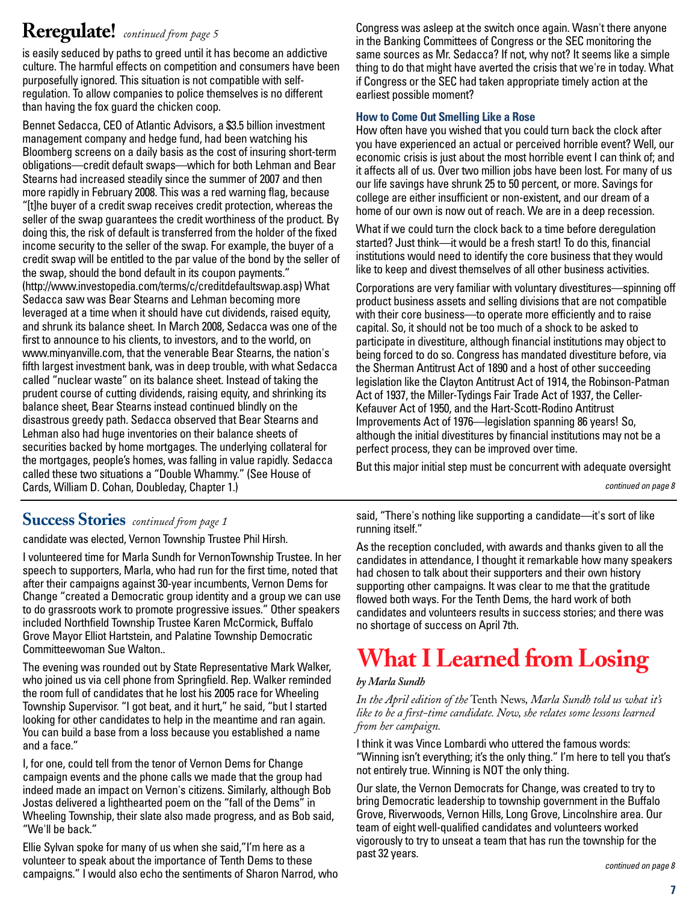## **Reregulate!** *continued from page 5*

is easily seduced by paths to greed until it has become an addictive culture. The harmful effects on competition and consumers have been purposefully ignored. This situation is not compatible with selfregulation. To allow companies to police themselves is no different than having the fox guard the chicken coop.

Bennet Sedacca, CEO of Atlantic Advisors, a \$3.5 billion investment management company and hedge fund, had been watching his Bloomberg screens on a daily basis as the cost of insuring short-term obligations—credit default swaps—which for both Lehman and Bear Stearns had increased steadily since the summer of 2007 and then more rapidly in February 2008. This was a red warning flag, because "[t]he buyer of a credit swap receives credit protection, whereas the seller of the swap guarantees the credit worthiness of the product. By doing this, the risk of default is transferred from the holder of the fixed income security to the seller of the swap. For example, the buyer of a credit swap will be entitled to the par value of the bond by the seller of the swap, should the bond default in its coupon payments." [\(http://www.investopedia.com/terms/c/creditdefaultswap.asp\)](http://www.investopedia.com/terms/c/creditdefaultswap.asp) What Sedacca saw was Bear Stearns and Lehman becoming more leveraged at a time when it should have cut dividends, raised equity, and shrunk its balance sheet. In March 2008, Sedacca was one of the first to announce to his clients, to investors, and to the world, on [www.minyanville.com,](http://www.minyanville.com) that the venerable Bear Stearns, the nation's fifth largest investment bank, was in deep trouble, with what Sedacca called "nuclear waste" on its balance sheet. Instead of taking the prudent course of cutting dividends, raising equity, and shrinking its balance sheet, Bear Stearns instead continued blindly on the disastrous greedy path. Sedacca observed that Bear Stearns and Lehman also had huge inventories on their balance sheets of securities backed by home mortgages. The underlying collateral for the mortgages, people's homes, was falling in value rapidly. Sedacca called these two situations a "Double Whammy." (See House of Cards, William D. Cohan, Doubleday, Chapter 1.)

Congress was asleep at the switch once again. Wasn't there anyone in the Banking Committees of Congress or the SEC monitoring the same sources as Mr. Sedacca? If not, why not? It seems like a simple thing to do that might have averted the crisis that we're in today. What if Congress or the SEC had taken appropriate timely action at the earliest possible moment?

#### **How to Come Out Smelling Like a Rose**

How often have you wished that you could turn back the clock after you have experienced an actual or perceived horrible event? Well, our economic crisis is just about the most horrible event I can think of; and it affects all of us. Over two million jobs have been lost. For many of us our life savings have shrunk 25 to 50 percent, or more. Savings for college are either insufficient or non-existent, and our dream of a home of our own is now out of reach. We are in a deep recession.

What if we could turn the clock back to a time before deregulation started? Just think—it would be a fresh start! To do this, financial institutions would need to identify the core business that they would like to keep and divest themselves of all other business activities.

Corporations are very familiar with voluntary divestitures—spinning off product business assets and selling divisions that are not compatible with their core business—to operate more efficiently and to raise capital. So, it should not be too much of a shock to be asked to participate in divestiture, although financial institutions may object to being forced to do so. Congress has mandated divestiture before, via the Sherman Antitrust Act of 1890 and a host of other succeeding legislation like the Clayton Antitrust Act of 1914, the Robinson-Patman Act of 1937, the Miller-Tydings Fair Trade Act of 1937, the Celler-Kefauver Act of 1950, and the Hart-Scott-Rodino Antitrust Improvements Act of 1976—legislation spanning 86 years! So, although the initial divestitures by financial institutions may not be a perfect process, they can be improved over time.

But this major initial step must be concurrent with adequate oversight

*continued on page 8*

### **Success Stories** *continued from page 1*

candidate was elected, Vernon Township Trustee Phil Hirsh.

I volunteered time for Marla Sundh for VernonTownship Trustee. In her speech to supporters, Marla, who had run for the first time, noted that after their campaigns against 30-year incumbents, Vernon Dems for Change "created a Democratic group identity and a group we can use to do grassroots work to promote progressive issues." Other speakers included Northfield Township Trustee Karen McCormick, Buffalo Grove Mayor Elliot Hartstein, and Palatine Township Democratic Committeewoman Sue Walton..

The evening was rounded out by State Representative Mark Walker, who joined us via cell phone from Springfield. Rep. Walker reminded the room full of candidates that he lost his 2005 race for Wheeling Township Supervisor. "I got beat, and it hurt," he said, "but I started looking for other candidates to help in the meantime and ran again. You can build a base from a loss because you established a name and a face."

I, for one, could tell from the tenor of Vernon Dems for Change campaign events and the phone calls we made that the group had indeed made an impact on Vernon's citizens. Similarly, although Bob Jostas delivered a lighthearted poem on the "fall of the Dems" in Wheeling Township, their slate also made progress, and as Bob said, "We'll be back."

Ellie Sylvan spoke for many of us when she said,"I'm here as a volunteer to speak about the importance of Tenth Dems to these campaigns." I would also echo the sentiments of Sharon Narrod, who said, "There's nothing like supporting a candidate—it's sort of like running itself."

As the reception concluded, with awards and thanks given to all the candidates in attendance, I thought it remarkable how many speakers had chosen to talk about their supporters and their own history supporting other campaigns. It was clear to me that the gratitude flowed both ways. For the Tenth Dems, the hard work of both candidates and volunteers results in success stories; and there was no shortage of success on April 7th.

## **What I Learned from Losing**

#### *by Marla Sundh*

*In the April edition of the* Tenth News*, Marla Sundh told us what it's like to be a first-time candidate. Now, she relates some lessons learned from her campaign.*

I think it was Vince Lombardi who uttered the famous words: "Winning isn't everything; it's the only thing." I'm here to tell you that's not entirely true. Winning is NOT the only thing.

Our slate, the Vernon Democrats for Change, was created to try to bring Democratic leadership to township government in the Buffalo Grove, Riverwoods, Vernon Hills, Long Grove, Lincolnshire area. Our team of eight well-qualified candidates and volunteers worked vigorously to try to unseat a team that has run the township for the past 32 years.